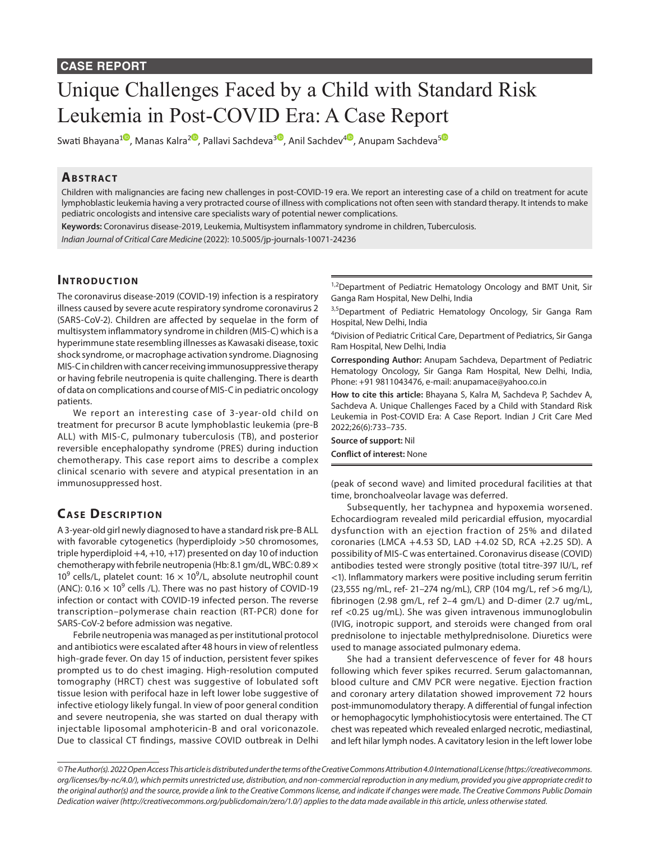#### **CASE REPORT**

# Unique Challenges Faced by a Child with Standard Risk Leukemia in Post-COVID Era: A Case Report

Swati Bhayana<sup>[1](https://orcid.org/0000-0003-3783-8846)0</sup>, Manas Kalra<sup>[2](https://orcid.org/0000-0003-2570-7750)0</sup>, Pallavi Sachdeva<sup>[3](https://orcid.org/0000-0002-7544-4402)0</sup>, Anil Sachdev<sup>[4](https://orcid.org/0000-0002-7624-6985)0</sup>, Anupam Sachdeva<sup>[5](https://orcid.org/0000-0003-2313-9913)0</sup>

## **ABSTRACT**

Children with malignancies are facing new challenges in post-COVID-19 era. We report an interesting case of a child on treatment for acute lymphoblastic leukemia having a very protracted course of illness with complications not often seen with standard therapy. It intends to make pediatric oncologists and intensive care specialists wary of potential newer complications.

**Keywords:** Coronavirus disease-2019, Leukemia, Multisystem inflammatory syndrome in children, Tuberculosis. *Indian Journal of Critical Care Medicine* (2022): 10.5005/jp-journals-10071-24236

### **INTRODUCTION**

The coronavirus disease-2019 (COVID-19) infection is a respiratory illness caused by severe acute respiratory syndrome coronavirus 2 (SARS-CoV-2). Children are affected by sequelae in the form of multisystem inflammatory syndrome in children (MIS-C) which is a hyperimmune state resembling illnesses as Kawasaki disease, toxic shock syndrome, or macrophage activation syndrome. Diagnosing MIS-C in children with cancer receiving immunosuppressive therapy or having febrile neutropenia is quite challenging. There is dearth of data on complications and course of MIS-C in pediatric oncology patients.

We report an interesting case of 3-year-old child on treatment for precursor B acute lymphoblastic leukemia (pre-B ALL) with MIS-C, pulmonary tuberculosis (TB), and posterior reversible encephalopathy syndrome (PRES) during induction chemotherapy. This case report aims to describe a complex clinical scenario with severe and atypical presentation in an immunosuppressed host.

## **CASE DESCRIPTION**

A 3-year-old girl newly diagnosed to have a standard risk pre-B ALL with favorable cytogenetics (hyperdiploidy >50 chromosomes, triple hyperdiploid +4, +10, +17) presented on day 10 of induction chemotherapy with febrile neutropenia (Hb: 8.1 gm/dL, WBC:  $0.89 \times$ 10<sup>9</sup> cells/L, platelet count: 16  $\times$  10<sup>9</sup>/L, absolute neutrophil count (ANC):  $0.16 \times 10^9$  cells /L). There was no past history of COVID-19 infection or contact with COVID-19 infected person. The reverse transcription–polymerase chain reaction (RT-PCR) done for SARS-CoV-2 before admission was negative.

Febrile neutropenia was managed as per institutional protocol and antibiotics were escalated after 48 hours in view of relentless high-grade fever. On day 15 of induction, persistent fever spikes prompted us to do chest imaging. High-resolution computed tomography (HRCT) chest was suggestive of lobulated soft tissue lesion with perifocal haze in left lower lobe suggestive of infective etiology likely fungal. In view of poor general condition and severe neutropenia, she was started on dual therapy with injectable liposomal amphotericin-B and oral voriconazole. Due to classical CT findings, massive COVID outbreak in Delhi

<sup>1,2</sup>Department of Pediatric Hematology Oncology and BMT Unit, Sir Ganga Ram Hospital, New Delhi, India

<sup>3,5</sup>Department of Pediatric Hematology Oncology, Sir Ganga Ram Hospital, New Delhi, India

<sup>4</sup>Division of Pediatric Critical Care, Department of Pediatrics, Sir Ganga Ram Hospital, New Delhi, India

**Corresponding Author:** Anupam Sachdeva, Department of Pediatric Hematology Oncology, Sir Ganga Ram Hospital, New Delhi, India, Phone: +91 9811043476, e-mail: anupamace@yahoo.co.in

**How to cite this article:** Bhayana S, Kalra M, Sachdeva P, Sachdev A, Sachdeva A. Unique Challenges Faced by a Child with Standard Risk Leukemia in Post-COVID Era: A Case Report. Indian J Crit Care Med 2022;26(6):733–735.

**Source of support:** Nil **Conflict of interest:** None

(peak of second wave) and limited procedural facilities at that time, bronchoalveolar lavage was deferred.

Subsequently, her tachypnea and hypoxemia worsened. Echocardiogram revealed mild pericardial effusion, myocardial dysfunction with an ejection fraction of 25% and dilated coronaries (LMCA +4.53 SD, LAD +4.02 SD, RCA +2.25 SD). A possibility of MIS-C was entertained. Coronavirus disease (COVID) antibodies tested were strongly positive (total titre-397 IU/L, ref <1). Inflammatory markers were positive including serum ferritin (23,555 ng/mL, ref- 21–274 ng/mL), CRP (104 mg/L, ref >6 mg/L), fibrinogen (2.98 gm/L, ref 2–4 gm/L) and D-dimer (2.7 ug/mL, ref <0.25 ug/mL). She was given intravenous immunoglobulin (IVIG, inotropic support, and steroids were changed from oral prednisolone to injectable methylprednisolone. Diuretics were used to manage associated pulmonary edema.

She had a transient defervescence of fever for 48 hours following which fever spikes recurred. Serum galactomannan, blood culture and CMV PCR were negative. Ejection fraction and coronary artery dilatation showed improvement 72 hours post-immunomodulatory therapy. A differential of fungal infection or hemophagocytic lymphohistiocytosis were entertained. The CT chest was repeated which revealed enlarged necrotic, mediastinal, and left hilar lymph nodes. A cavitatory lesion in the left lower lobe

*<sup>©</sup> The Author(s). 2022 Open Access This article is distributed under the terms of the Creative Commons Attribution 4.0 International License ([https://creativecommons.](https://creativecommons.org/licenses/by-nc/4.0/) [org/licenses/by-nc/4.0/](https://creativecommons.org/licenses/by-nc/4.0/)), which permits unrestricted use, distribution, and non-commercial reproduction in any medium, provided you give appropriate credit to the original author(s) and the source, provide a link to the Creative Commons license, and indicate if changes were made. The Creative Commons Public Domain Dedication waiver ([http://creativecommons.org/publicdomain/zero/1.0/\)](http://creativecommons.org/publicdomain/zero/1.0/) applies to the data made available in this article, unless otherwise stated.*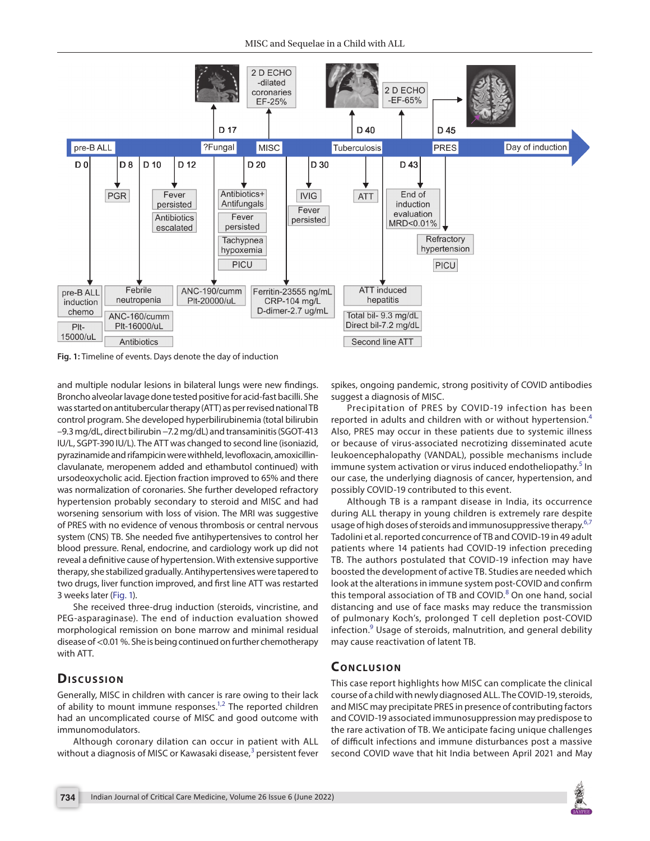

<span id="page-1-0"></span>**Fig. 1:** Timeline of events. Days denote the day of induction

and multiple nodular lesions in bilateral lungs were new findings. Broncho alveolar lavage done tested positive for acid-fast bacilli. She was started on antitubercular therapy (ATT) as per revised national TB control program. She developed hyperbilirubinemia (total bilirubin –9.3 mg/dL, direct bilirubin −7.2 mg/dL) and transaminitis (SGOT-413 IU/L, SGPT-390 IU/L). The ATT was changed to second line (isoniazid, pyrazinamide and rifampicin were withheld, levofloxacin, amoxicillinclavulanate, meropenem added and ethambutol continued) with ursodeoxycholic acid. Ejection fraction improved to 65% and there was normalization of coronaries. She further developed refractory hypertension probably secondary to steroid and MISC and had worsening sensorium with loss of vision. The MRI was suggestive of PRES with no evidence of venous thrombosis or central nervous system (CNS) TB. She needed five antihypertensives to control her blood pressure. Renal, endocrine, and cardiology work up did not reveal a definitive cause of hypertension. With extensive supportive therapy, she stabilized gradually. Antihypertensives were tapered to two drugs, liver function improved, and first line ATT was restarted 3 weeks later [\(Fig. 1](#page-1-0)).

She received three-drug induction (steroids, vincristine, and PEG-asparaginase). The end of induction evaluation showed morphological remission on bone marrow and minimal residual disease of <0.01 %. She is being continued on further chemotherapy with ATT.

#### **Dis c u s sio n**

Generally, MISC in children with cancer is rare owing to their lack of ability to mount immune responses. $1,2$  $1,2$  The reported children had an uncomplicated course of MISC and good outcome with immunomodulators.

Although coronary dilation can occur in patient with ALL without a diagnosis of MISC or Kawasaki disease, $^3$  $^3$  persistent fever

spikes, ongoing pandemic, strong positivity of COVID antibodies suggest a diagnosis of MISC.

Precipitation of PRES by COVID-19 infection has been reported in adults and children with or without hypertension.<sup>[4](#page-2-3)</sup> Also, PRES may occur in these patients due to systemic illness or because of virus-associated necrotizing disseminated acute leukoencephalopathy (VANDAL), possible mechanisms include immune system activation or virus induced endotheliopathy.<sup>[5](#page-2-4)</sup> In our case, the underlying diagnosis of cancer, hypertension, and possibly COVID-19 contributed to this event.

Although TB is a rampant disease in India, its occurrence during ALL therapy in young children is extremely rare despite usage of high doses of steroids and immunosuppressive therapy. $6,7$  $6,7$  $6,7$ Tadolini et al. reported concurrence of TB and COVID-19 in 49 adult patients where 14 patients had COVID-19 infection preceding TB. The authors postulated that COVID-19 infection may have boosted the development of active TB. Studies are needed which look at the alterations in immune system post-COVID and confirm this temporal association of TB and COVID.<sup>[8](#page-2-7)</sup> On one hand, social distancing and use of face masks may reduce the transmission of pulmonary Koch's, prolonged T cell depletion post-COVID infection.<sup>[9](#page-2-8)</sup> Usage of steroids, malnutrition, and general debility may cause reactivation of latent TB.

#### **CONCLUSION**

This case report highlights how MISC can complicate the clinical course of a child with newly diagnosed ALL. The COVID-19, steroids, and MISC may precipitate PRES in presence of contributing factors and COVID-19 associated immunosuppression may predispose to the rare activation of TB. We anticipate facing unique challenges of difficult infections and immune disturbances post a massive second COVID wave that hit India between April 2021 and May